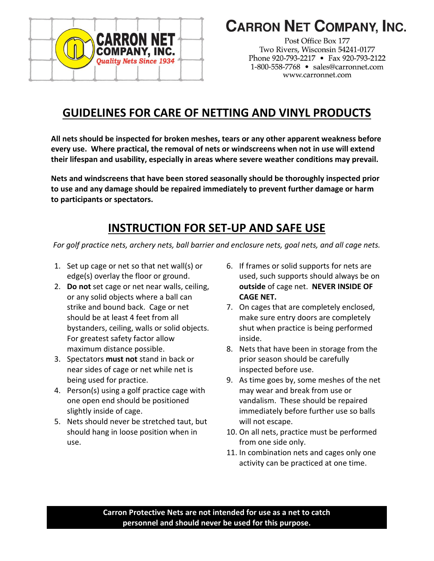

# **CARRON NET COMPANY, INC.**

Post Office Box 177 Two Rivers, Wisconsin 54241-0177 Phone 920-793-2217 • Fax 920-793-2122 1-800-558-7768 · sales@carronnet.com www.carronnet.com

## **GUIDELINES FOR CARE OF NETTING AND VINYL PRODUCTS**

**All nets should be inspected for broken meshes, tears or any other apparent weakness before every use. Where practical, the removal of nets or windscreens when not in use will extend their lifespan and usability, especially in areas where severe weather conditions may prevail.**

**Nets and windscreens that have been stored seasonally should be thoroughly inspected prior to use and any damage should be repaired immediately to prevent further damage or harm to participants or spectators.**

## **INSTRUCTION FOR SET-UP AND SAFE USE**

*For golf practice nets, archery nets, ball barrier and enclosure nets, goal nets, and all cage nets.*

- 1. Set up cage or net so that net wall(s) or edge(s) overlay the floor or ground.
- 2. **Do not** set cage or net near walls, ceiling, or any solid objects where a ball can strike and bound back. Cage or net should be at least 4 feet from all bystanders, ceiling, walls or solid objects. For greatest safety factor allow maximum distance possible.
- 3. Spectators **must not** stand in back or near sides of cage or net while net is being used for practice.
- 4. Person(s) using a golf practice cage with one open end should be positioned slightly inside of cage.
- 5. Nets should never be stretched taut, but should hang in loose position when in use.
- 6. If frames or solid supports for nets are used, such supports should always be on **outside** of cage net. **NEVER INSIDE OF CAGE NET.**
- 7. On cages that are completely enclosed, make sure entry doors are completely shut when practice is being performed inside.
- 8. Nets that have been in storage from the prior season should be carefully inspected before use.
- 9. As time goes by, some meshes of the net may wear and break from use or vandalism. These should be repaired immediately before further use so balls will not escape.
- 10. On all nets, practice must be performed from one side only.
- 11. In combination nets and cages only one activity can be practiced at one time.